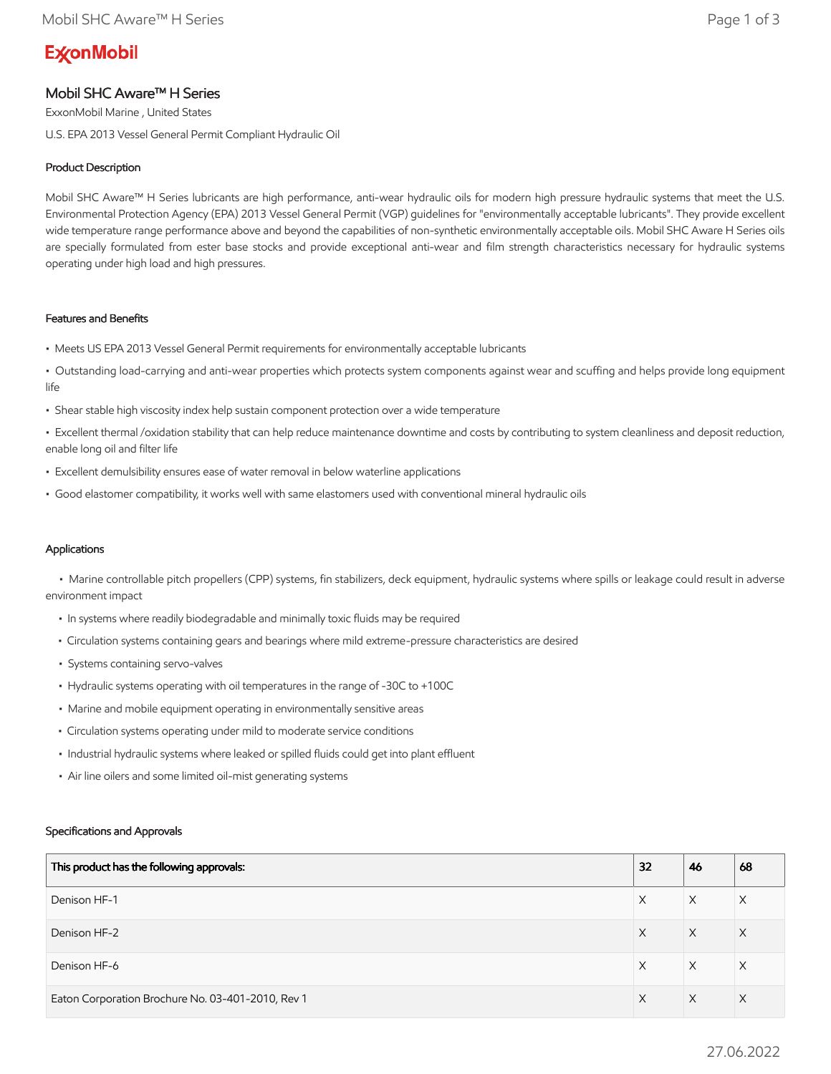# **ExconMobil**

## Mobil SHC Aware™ H Series

ExxonMobil Marine , United States

U.S. EPA 2013 Vessel General Permit Compliant Hydraulic Oil

### Product Description

Mobil SHC Aware™ H Series lubricants are high performance, anti-wear hydraulic oils for modern high pressure hydraulic systems that meet the U.S. Environmental Protection Agency (EPA) 2013 Vessel General Permit (VGP) guidelines for "environmentally acceptable lubricants". They provide excellent wide temperature range performance above and beyond the capabilities of non-synthetic environmentally acceptable oils. Mobil SHC Aware H Series oils are specially formulated from ester base stocks and provide exceptional anti-wear and film strength characteristics necessary for hydraulic systems operating under high load and high pressures.

#### Features and Benefits

- Meets US EPA 2013 Vessel General Permit requirements for environmentally acceptable lubricants
- Outstanding load-carrying and anti-wear properties which protects system components against wear and scuffing and helps provide long equipment life
- Shear stable high viscosity index help sustain component protection over a wide temperature

• Excellent thermal /oxidation stability that can help reduce maintenance downtime and costs by contributing to system cleanliness and deposit reduction, enable long oil and filter life

- Excellent demulsibility ensures ease of water removal in below waterline applications
- Good elastomer compatibility, it works well with same elastomers used with conventional mineral hydraulic oils

#### Applications

 • Marine controllable pitch propellers (CPP) systems, fin stabilizers, deck equipment, hydraulic systems where spills or leakage could result in adverse environment impact

- In systems where readily biodegradable and minimally toxic fluids may be required
- Circulation systems containing gears and bearings where mild extreme-pressure characteristics are desired
- Systems containing servo-valves
- Hydraulic systems operating with oil temperatures in the range of -30C to +100C
- Marine and mobile equipment operating in environmentally sensitive areas
- Circulation systems operating under mild to moderate service conditions
- Industrial hydraulic systems where leaked or spilled fluids could get into plant effluent
- Air line oilers and some limited oil-mist generating systems

#### Specifications and Approvals

| This product has the following approvals:         | 32 | 46 | 68       |
|---------------------------------------------------|----|----|----------|
| Denison HF-1                                      | X  | X  | Χ        |
| Denison HF-2                                      | X  | X  | $\times$ |
| Denison HF-6                                      | X  | X  | X        |
| Eaton Corporation Brochure No. 03-401-2010, Rev 1 | X  | X  | $\times$ |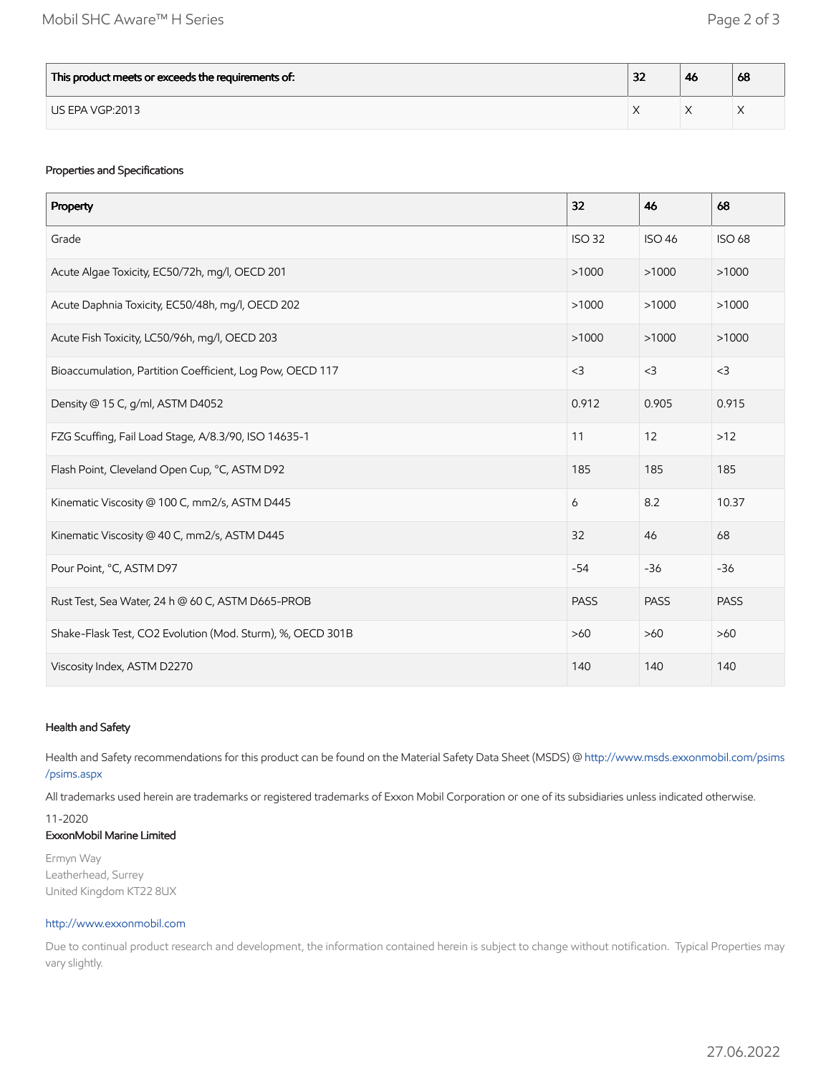| This product meets or exceeds the requirements of: | າາ<br>ж | -46 | 68 |
|----------------------------------------------------|---------|-----|----|
| US EPA VGP:2013                                    |         |     |    |

#### Properties and Specifications

| Property                                                   | 32            | 46            | 68            |
|------------------------------------------------------------|---------------|---------------|---------------|
| Grade                                                      | <b>ISO 32</b> | <b>ISO 46</b> | <b>ISO 68</b> |
| Acute Algae Toxicity, EC50/72h, mg/l, OECD 201             | >1000         | >1000         | >1000         |
| Acute Daphnia Toxicity, EC50/48h, mg/l, OECD 202           | >1000         | >1000         | >1000         |
| Acute Fish Toxicity, LC50/96h, mg/l, OECD 203              | >1000         | >1000         | >1000         |
| Bioaccumulation, Partition Coefficient, Log Pow, OECD 117  | $<$ 3         | $<$ 3         | $<$ 3         |
| Density @ 15 C, g/ml, ASTM D4052                           | 0.912         | 0.905         | 0.915         |
| FZG Scuffing, Fail Load Stage, A/8.3/90, ISO 14635-1       | 11            | 12            | $>12$         |
| Flash Point, Cleveland Open Cup, °C, ASTM D92              | 185           | 185           | 185           |
| Kinematic Viscosity @ 100 C, mm2/s, ASTM D445              | 6             | 8.2           | 10.37         |
| Kinematic Viscosity @ 40 C, mm2/s, ASTM D445               | 32            | 46            | 68            |
| Pour Point, °C, ASTM D97                                   | $-54$         | $-36$         | $-36$         |
| Rust Test, Sea Water, 24 h @ 60 C, ASTM D665-PROB          | <b>PASS</b>   | <b>PASS</b>   | <b>PASS</b>   |
| Shake-Flask Test, CO2 Evolution (Mod. Sturm), %, OECD 301B | $>60$         | $>60$         | $>60$         |
| Viscosity Index, ASTM D2270                                | 140           | 140           | 140           |

#### Health and Safety

Health and Safety recommendations for this product can be found on the Material Safety Data Sheet (MSDS) @ [http://www.msds.exxonmobil.com/psims](http://www.msds.exxonmobil.com/psims/psims.aspx) /psims.aspx

All trademarks used herein are trademarks or registered trademarks of Exxon Mobil Corporation or one of its subsidiaries unless indicated otherwise.

#### 11-2020 ExxonMobil Marine Limited

Ermyn Way Leatherhead, Surrey United Kingdom KT22 8UX

#### [http://www.exxonmobil.com](http://www.exxonmobil.com/)

Due to continual product research and development, the information contained herein is subject to change without notification. Typical Properties may vary slightly.